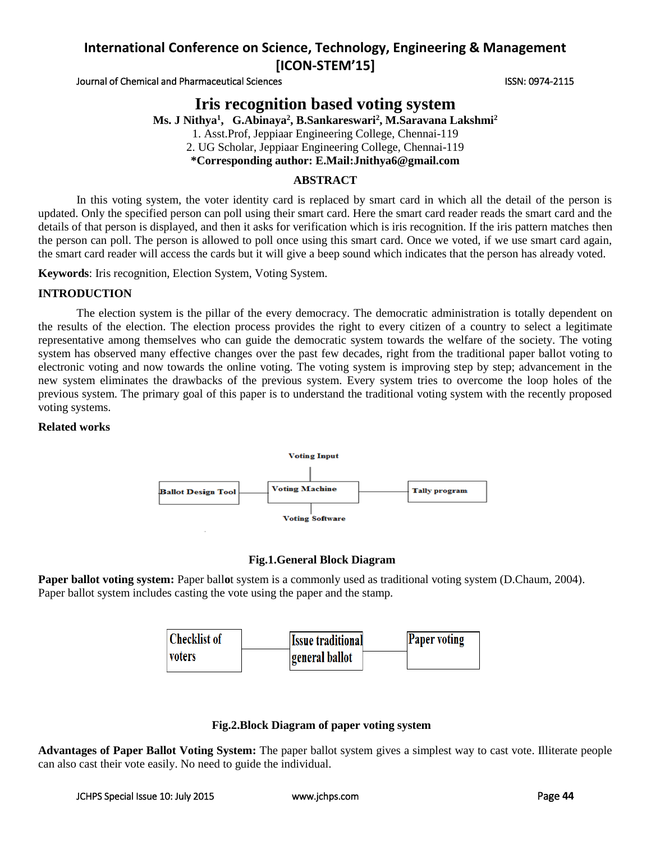Journal of Chemical and Pharmaceutical Sciences **ISSN: 0974-2115** ISSN: 0974-2115

# **Iris recognition based voting system**

**Ms. J Nithya<sup>1</sup> , G.Abinaya<sup>2</sup> , B.Sankareswari<sup>2</sup> , M.Saravana Lakshmi<sup>2</sup>**

1. Asst.Prof, Jeppiaar Engineering College, Chennai-119

2. UG Scholar, Jeppiaar Engineering College, Chennai-119

**\*Corresponding author: E.Mail:Jnithya6@gmail.com**

## **ABSTRACT**

In this voting system, the voter identity card is replaced by smart card in which all the detail of the person is updated. Only the specified person can poll using their smart card. Here the smart card reader reads the smart card and the details of that person is displayed, and then it asks for verification which is iris recognition. If the iris pattern matches then the person can poll. The person is allowed to poll once using this smart card. Once we voted, if we use smart card again, the smart card reader will access the cards but it will give a beep sound which indicates that the person has already voted.

**Keywords**: Iris recognition, Election System, Voting System.

### **INTRODUCTION**

The election system is the pillar of the every democracy. The democratic administration is totally dependent on the results of the election. The election process provides the right to every citizen of a country to select a legitimate representative among themselves who can guide the democratic system towards the welfare of the society. The voting system has observed many effective changes over the past few decades, right from the traditional paper ballot voting to electronic voting and now towards the online voting. The voting system is improving step by step; advancement in the new system eliminates the drawbacks of the previous system. Every system tries to overcome the loop holes of the previous system. The primary goal of this paper is to understand the traditional voting system with the recently proposed voting systems.

### **Related works**



### **Fig.1.General Block Diagram**

**Paper ballot voting system:** Paper ballot system is a commonly used as traditional voting system (D.Chaum, 2004). Paper ballot system includes casting the vote using the paper and the stamp.



### **Fig.2.Block Diagram of paper voting system**

**Advantages of Paper Ballot Voting System:** The paper ballot system gives a simplest way to cast vote. Illiterate people can also cast their vote easily. No need to guide the individual.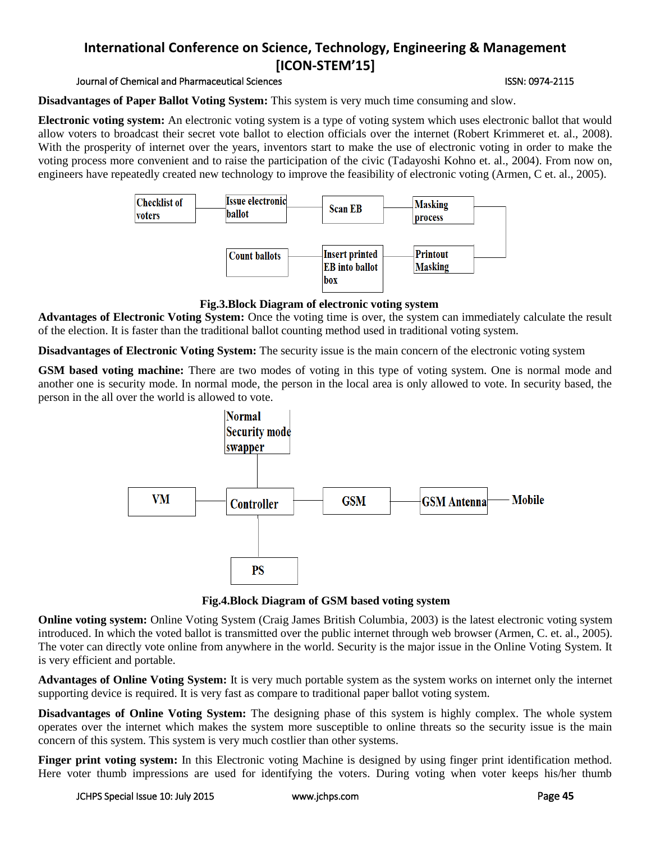### Journal of Chemical and Pharmaceutical Sciences ISSN: 0974-2115

### **Disadvantages of Paper Ballot Voting System:** This system is very much time consuming and slow.

**Electronic voting system:** An electronic voting system is a type of voting system which uses electronic ballot that would allow voters to broadcast their secret vote ballot to election officials over the internet (Robert Krimmeret et. al., 2008). With the prosperity of internet over the years, inventors start to make the use of electronic voting in order to make the voting process more convenient and to raise the participation of the civic (Tadayoshi Kohno et. al., 2004). From now on, engineers have repeatedly created new technology to improve the feasibility of electronic voting (Armen, C et. al., 2005).



### **Fig.3.Block Diagram of electronic voting system**

**Advantages of Electronic Voting System:** Once the voting time is over, the system can immediately calculate the result of the election. It is faster than the traditional ballot counting method used in traditional voting system.

**Disadvantages of Electronic Voting System:** The security issue is the main concern of the electronic voting system

**GSM based voting machine:** There are two modes of voting in this type of voting system. One is normal mode and another one is security mode. In normal mode, the person in the local area is only allowed to vote. In security based, the person in the all over the world is allowed to vote.



**Fig.4.Block Diagram of GSM based voting system**

**Online voting system:** Online Voting System (Craig James British Columbia, 2003) is the latest electronic voting system introduced. In which the voted ballot is transmitted over the public internet through web browser (Armen, C. et. al., 2005). The voter can directly vote online from anywhere in the world. Security is the major issue in the Online Voting System. It is very efficient and portable.

**Advantages of Online Voting System:** It is very much portable system as the system works on internet only the internet supporting device is required. It is very fast as compare to traditional paper ballot voting system.

**Disadvantages of Online Voting System:** The designing phase of this system is highly complex. The whole system operates over the internet which makes the system more susceptible to online threats so the security issue is the main concern of this system. This system is very much costlier than other systems.

**Finger print voting system:** In this Electronic voting Machine is designed by using finger print identification method. Here voter thumb impressions are used for identifying the voters. During voting when voter keeps his/her thumb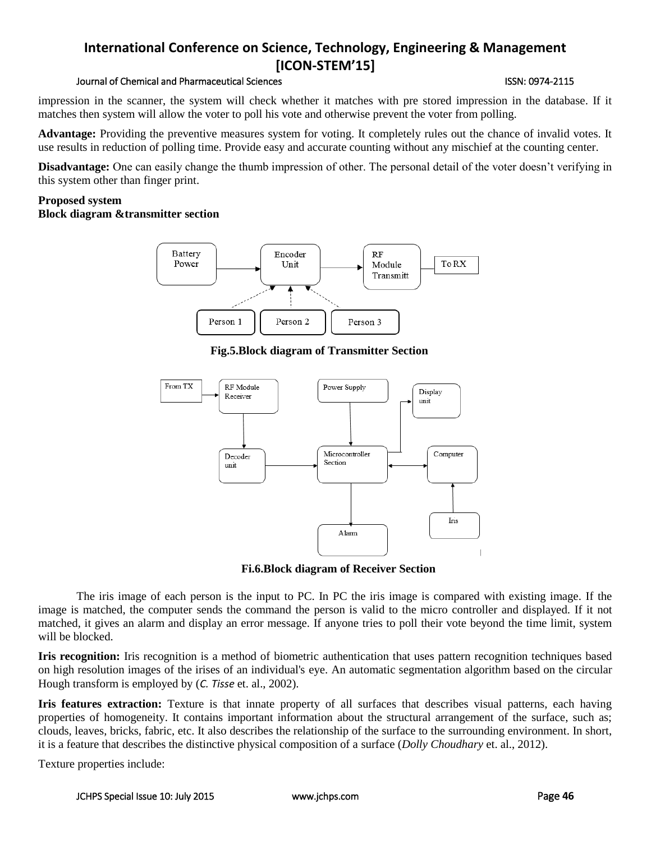### Journal of Chemical and Pharmaceutical Sciences ISSN: 0974-2115

impression in the scanner, the system will check whether it matches with pre stored impression in the database. If it matches then system will allow the voter to poll his vote and otherwise prevent the voter from polling.

**Advantage:** Providing the preventive measures system for voting. It completely rules out the chance of invalid votes. It use results in reduction of polling time. Provide easy and accurate counting without any mischief at the counting center.

**Disadvantage:** One can easily change the thumb impression of other. The personal detail of the voter doesn't verifying in this system other than finger print.

#### **Proposed system Block diagram &transmitter section**



**Fig.5.Block diagram of Transmitter Section**



**Fi.6.Block diagram of Receiver Section**

The iris image of each person is the input to PC. In PC the iris image is compared with existing image. If the image is matched, the computer sends the command the person is valid to the micro controller and displayed. If it not matched, it gives an alarm and display an error message. If anyone tries to poll their vote beyond the time limit, system will be blocked.

**Iris recognition:** Iris recognition is a method of biometric authentication that uses pattern recognition techniques based on high resolution images of the irises of an individual's eye. An automatic segmentation algorithm based on the circular Hough transform is employed by (*C. Tisse* et. al., 2002).

**Iris features extraction:** Texture is that innate property of all surfaces that describes visual patterns, each having properties of homogeneity. It contains important information about the structural arrangement of the surface, such as; clouds, leaves, bricks, fabric, etc. It also describes the relationship of the surface to the surrounding environment. In short, it is a feature that describes the distinctive physical composition of a surface (*Dolly Choudhary* et. al., 2012).

Texture properties include: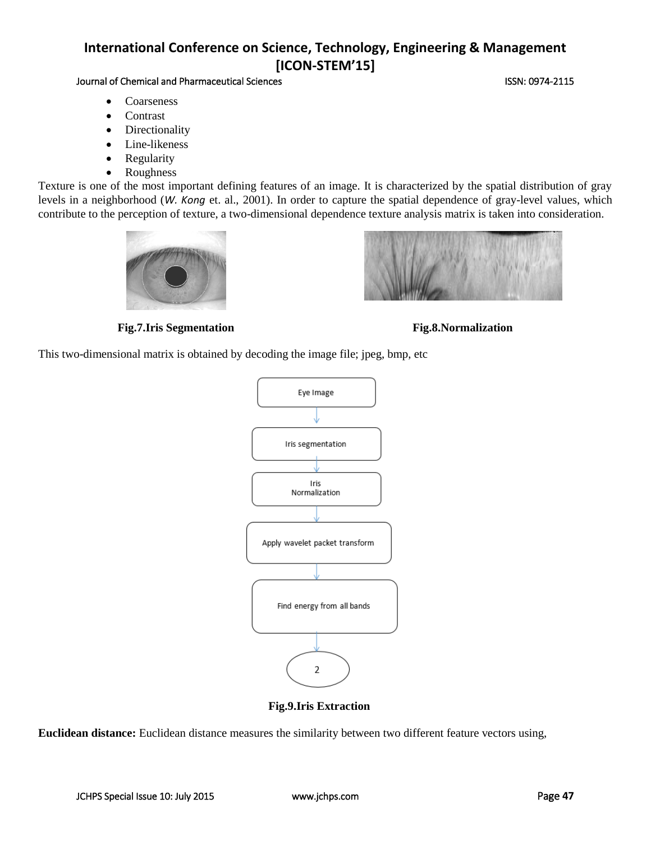## Journal of Chemical and Pharmaceutical Sciences **ISSN: 0974-2115** ISSN: 0974-2115

- Coarseness
- **Contrast**
- Directionality
- Line-likeness
- Regularity
- Roughness

Texture is one of the most important defining features of an image. It is characterized by the spatial distribution of gray levels in a neighborhood (*W. Kong* et. al., 2001). In order to capture the spatial dependence of gray-level values, which contribute to the perception of texture, a two-dimensional dependence texture analysis matrix is taken into consideration.





### **Fig.7.Iris Segmentation Fig.8.Normalization**



This two-dimensional matrix is obtained by decoding the image file; jpeg, bmp, etc



**Fig.9.Iris Extraction**

**Euclidean distance:** Euclidean distance measures the similarity between two different feature vectors using,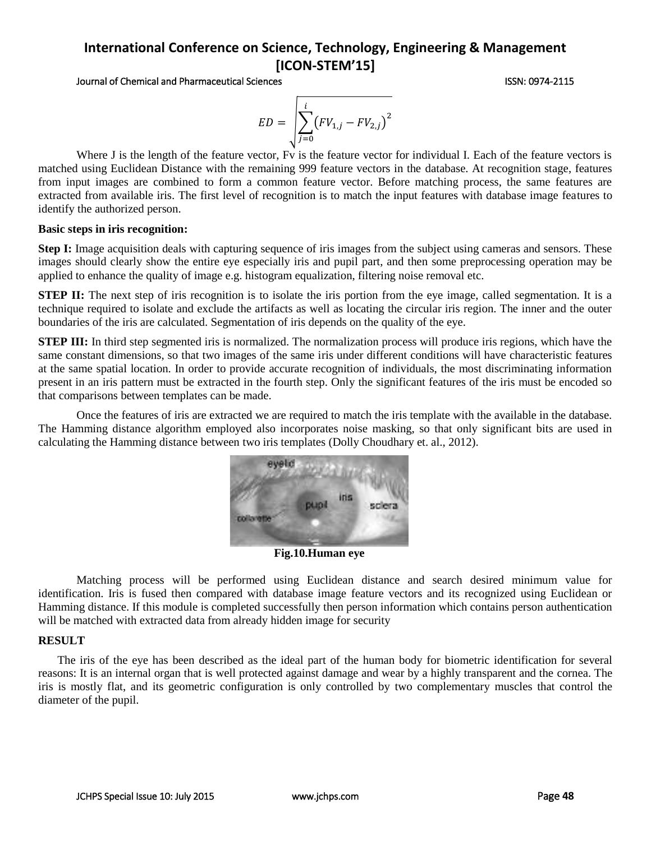Journal of Chemical and Pharmaceutical Sciences **ISSN: 0974-2115** ISSN: 0974-2115

$$
ED = \sqrt{\sum_{j=0}^{i} (FV_{1,j} - FV_{2,j})^{2}}
$$

Where J is the length of the feature vector, Fv is the feature vector for individual I. Each of the feature vectors is matched using Euclidean Distance with the remaining 999 feature vectors in the database. At recognition stage, features from input images are combined to form a common feature vector. Before matching process, the same features are extracted from available iris. The first level of recognition is to match the input features with database image features to identify the authorized person.

#### **Basic steps in iris recognition:**

**Step I:** Image acquisition deals with capturing sequence of iris images from the subject using cameras and sensors. These images should clearly show the entire eye especially iris and pupil part, and then some preprocessing operation may be applied to enhance the quality of image e.g. histogram equalization, filtering noise removal etc.

**STEP II:** The next step of iris recognition is to isolate the iris portion from the eye image, called segmentation. It is a technique required to isolate and exclude the artifacts as well as locating the circular iris region. The inner and the outer boundaries of the iris are calculated. Segmentation of iris depends on the quality of the eye.

**STEP III:** In third step segmented iris is normalized. The normalization process will produce iris regions, which have the same constant dimensions, so that two images of the same iris under different conditions will have characteristic features at the same spatial location. In order to provide accurate recognition of individuals, the most discriminating information present in an iris pattern must be extracted in the fourth step. Only the significant features of the iris must be encoded so that comparisons between templates can be made.

Once the features of iris are extracted we are required to match the iris template with the available in the database. The Hamming distance algorithm employed also incorporates noise masking, so that only significant bits are used in calculating the Hamming distance between two iris templates (Dolly Choudhary et. al., 2012).



**Fig.10.Human eye**

Matching process will be performed using Euclidean distance and search desired minimum value for identification. Iris is fused then compared with database image feature vectors and its recognized using Euclidean or Hamming distance. If this module is completed successfully then person information which contains person authentication will be matched with extracted data from already hidden image for security

#### **RESULT**

The iris of the eye has been described as the ideal part of the human body for biometric identification for several reasons: It is an internal organ that is well protected against damage and wear by a highly transparent and the cornea. The iris is mostly flat, and its geometric configuration is only controlled by two complementary muscles that control the diameter of the pupil.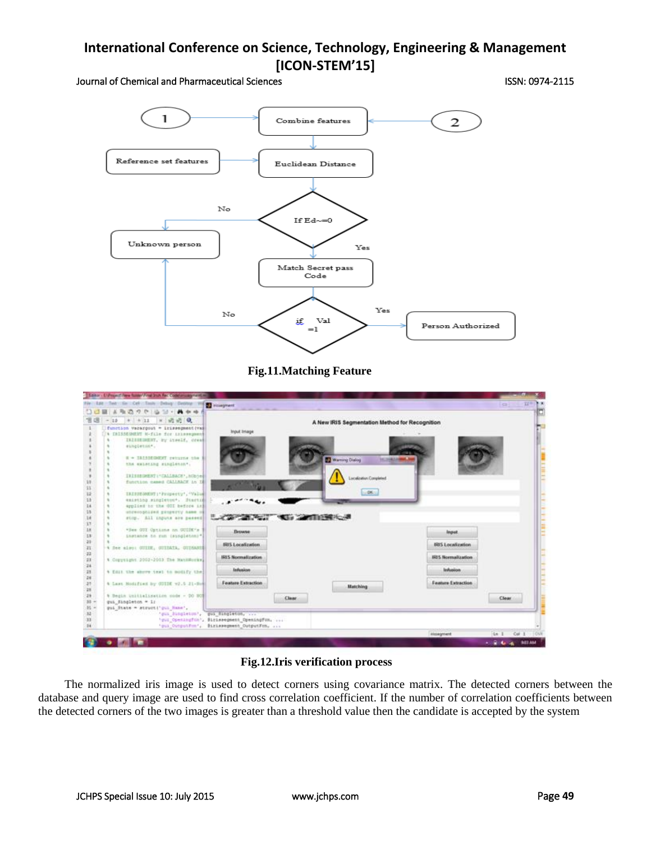Journal of Chemical and Pharmaceutical Sciences **ISSN: 0974-2115** ISSN: 0974-2115



**Fig.11.Matching Feature**

| the Life Tele Se Cel Testy Delsey Deliter To Compount<br>■ A 取込った19-33 - |                                                                                                                       |                                                |                          |       |
|--------------------------------------------------------------------------|-----------------------------------------------------------------------------------------------------------------------|------------------------------------------------|--------------------------|-------|
| $-10$ $+11$ $+12$                                                        |                                                                                                                       | A New IRIS Segmentation Method for Recognition |                          |       |
| function Vacargout = Irissegment (Va)                                    |                                                                                                                       |                                                |                          |       |
| A TRISSEDMENT M-file for inimergean                                      | <b>Input Image</b>                                                                                                    |                                                |                          |       |
| INISEDENT, by itself, creek                                              |                                                                                                                       |                                                |                          |       |
| singtenme".                                                              |                                                                                                                       |                                                |                          |       |
|                                                                          |                                                                                                                       |                                                |                          |       |
| il = 181916190007 returns the                                            |                                                                                                                       | Warning Dialog<br><b>Incomedia</b>             |                          |       |
| the extening singleton".                                                 |                                                                                                                       |                                                |                          |       |
|                                                                          |                                                                                                                       |                                                |                          |       |
| IRISHMENT: CALLBACK', hOpine<br>function names CALLEGGY in II            |                                                                                                                       | acalization Completed                          |                          |       |
|                                                                          |                                                                                                                       |                                                |                          |       |
| ERESSEDMENT   ' Prospecty', 'Valual                                      |                                                                                                                       | 06.1                                           |                          |       |
| esisting singleton*, Jiartie                                             |                                                                                                                       |                                                |                          |       |
| applied to the OOI before in                                             |                                                                                                                       |                                                |                          |       |
| utrecophised property assemi                                             |                                                                                                                       |                                                |                          |       |
| stop. All inputs are passed                                              | <b>STATE AND STATE OF A REPORT OF A STATE OF A REPORT OF A REPORT OF A REPORT OF A REPORT OF A REPORT OF A REPORT</b> |                                                |                          |       |
|                                                                          |                                                                                                                       |                                                |                          |       |
| *See GUI Optime on GUIDE's                                               | <b>Период</b>                                                                                                         |                                                | Input                    |       |
| instance to run (sungleton)*                                             |                                                                                                                       |                                                |                          |       |
|                                                                          | <b>IRIS Localization</b>                                                                                              |                                                | <b>IRIS Localization</b> |       |
| 4 See also: GUIDE, GUIDATA, GUIDANNE                                     |                                                                                                                       |                                                |                          |       |
| 4 Copyeight 2002-2003 The Hatoworks                                      | <b>IRIS Normalization</b>                                                                                             |                                                | IRUS Normalization       |       |
|                                                                          |                                                                                                                       |                                                |                          |       |
| 4 ESIL the shore test to modify the                                      | Infusion                                                                                                              |                                                | Inflasion                |       |
|                                                                          |                                                                                                                       |                                                |                          |       |
| 4 Last Hodified by GUIDE v2.5 21-9mg                                     | Feature Extraction                                                                                                    | <b>Matching</b>                                | Feature Extraction       |       |
|                                                                          |                                                                                                                       |                                                |                          |       |
| % Begin initialisation node - DO NOT                                     | Clear                                                                                                                 |                                                |                          | Clear |
| gui Singleton = 1:                                                       |                                                                                                                       |                                                |                          |       |
| gui State = structl'qui Hane',                                           |                                                                                                                       |                                                |                          |       |
|                                                                          | 'yui dingletow', gui fingleton,                                                                                       |                                                |                          |       |
|                                                                          |                                                                                                                       |                                                |                          |       |
| 'ou Openington', Sicileaegment Openington,                               | qui OutputFum', Birlesegment OutputFum,                                                                               |                                                |                          |       |

**Fig.12.Iris verification process**

 The normalized iris image is used to detect corners using covariance matrix. The detected corners between the database and query image are used to find cross correlation coefficient. If the number of correlation coefficients between the detected corners of the two images is greater than a threshold value then the candidate is accepted by the system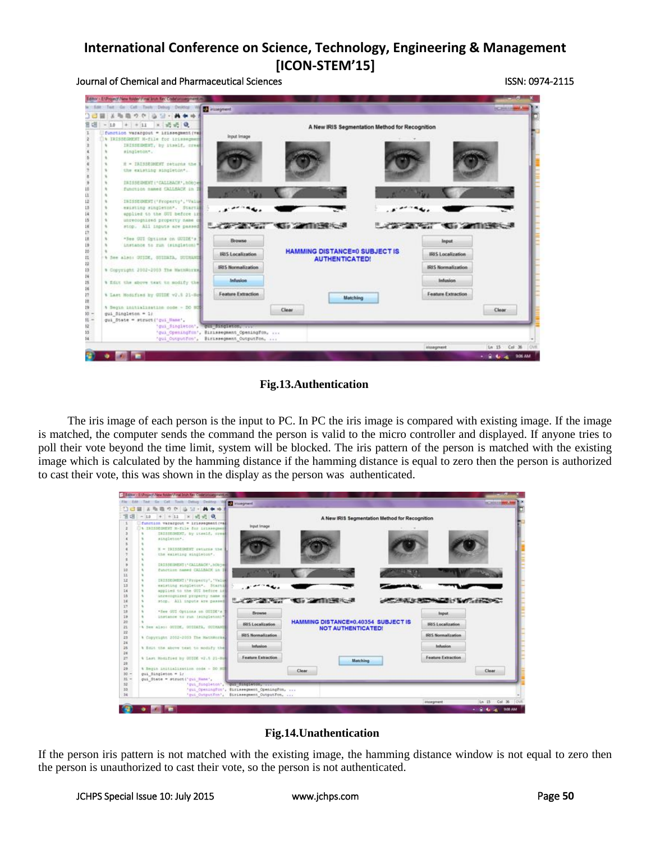Journal of Chemical and Pharmaceutical Sciences ISSN: 0974-2115

| w fire fact die dat Tools Debug Deuton W 1 vullegment |                                                                                        |                                                                                                                                                                                                                                      |                   | <b>ACTIVITY IS NOT</b>         |  |
|-------------------------------------------------------|----------------------------------------------------------------------------------------|--------------------------------------------------------------------------------------------------------------------------------------------------------------------------------------------------------------------------------------|-------------------|--------------------------------|--|
| メモモウク   山田一                                           |                                                                                        |                                                                                                                                                                                                                                      |                   |                                |  |
|                                                       |                                                                                        |                                                                                                                                                                                                                                      |                   |                                |  |
| $-10 + +11 + 12 = 0$                                  | A New IRIS Segmentation Method for Recognition                                         |                                                                                                                                                                                                                                      |                   |                                |  |
| function varangout = irisoegment (val)                | <b>Input Image</b>                                                                     |                                                                                                                                                                                                                                      |                   |                                |  |
| <b>\ IRISIEGHENT N-file for inissement</b>            |                                                                                        |                                                                                                                                                                                                                                      |                   |                                |  |
| IRISIDENT, by Hamif, creat                            |                                                                                        |                                                                                                                                                                                                                                      |                   |                                |  |
| singleton*.                                           |                                                                                        |                                                                                                                                                                                                                                      |                   |                                |  |
| it = ISISSECRET ceturns the l                         |                                                                                        |                                                                                                                                                                                                                                      |                   |                                |  |
| the existing singleton*.                              |                                                                                        |                                                                                                                                                                                                                                      |                   |                                |  |
|                                                       |                                                                                        |                                                                                                                                                                                                                                      |                   |                                |  |
| INISSEDENT ("CALLBACK", hospie-                       |                                                                                        |                                                                                                                                                                                                                                      |                   |                                |  |
| function named CALLBACK in I                          |                                                                                        |                                                                                                                                                                                                                                      |                   |                                |  |
|                                                       |                                                                                        |                                                                                                                                                                                                                                      |                   |                                |  |
| INISSEQUENT ('Froperty', 'Value                       |                                                                                        |                                                                                                                                                                                                                                      |                   |                                |  |
| existing singleton*. Startil                          |                                                                                        |                                                                                                                                                                                                                                      |                   |                                |  |
| epplied to the OUI before in                          |                                                                                        |                                                                                                                                                                                                                                      |                   |                                |  |
| unrecognized property nese of                         |                                                                                        | <b>Contract Contract Contract Contract Contract Contract Contract Contract Contract Contract Contract Contract Contract Contract Contract Contract Contract Contract Contract Contract Contract Contract Contract Contract Contr</b> |                   | <b>A STATE AND A STREET AS</b> |  |
| stop. All inputs are passed                           |                                                                                        |                                                                                                                                                                                                                                      |                   |                                |  |
|                                                       |                                                                                        |                                                                                                                                                                                                                                      |                   |                                |  |
|                                                       |                                                                                        |                                                                                                                                                                                                                                      |                   |                                |  |
| "See GUI Optima on GUIDE's                            | <b>Browse</b>                                                                          |                                                                                                                                                                                                                                      |                   | <b>Input</b>                   |  |
| instance to run (singleton)?                          |                                                                                        |                                                                                                                                                                                                                                      |                   |                                |  |
| % See also: SUIDE, SUIDATA, SUINANT                   | <b>IRIS Localization</b>                                                               | <b>HAMMING DISTANCE=0 SUBJECT IS</b>                                                                                                                                                                                                 |                   | <b>IRIS Localization</b>       |  |
|                                                       |                                                                                        | <b>AUTHENTICATED!</b>                                                                                                                                                                                                                |                   |                                |  |
| * Copyright 2002-2003 The MathWorks                   | <b>IRIS Normalization</b>                                                              |                                                                                                                                                                                                                                      |                   | <b>IRIS Normalization</b>      |  |
|                                                       |                                                                                        |                                                                                                                                                                                                                                      |                   |                                |  |
| % fint the shows text to modify the                   | <b>Infusion</b>                                                                        |                                                                                                                                                                                                                                      |                   | Infusion                       |  |
|                                                       |                                                                                        |                                                                                                                                                                                                                                      |                   |                                |  |
| % Last Hodified by GUIDE v2.8 21-Som                  | Feature Extraction                                                                     | Matching                                                                                                                                                                                                                             |                   | Feature Extraction             |  |
|                                                       |                                                                                        |                                                                                                                                                                                                                                      |                   |                                |  |
| 4 Begin initialization code - DO NOT                  |                                                                                        | Clear                                                                                                                                                                                                                                |                   | Clear                          |  |
| gui Singleton = 1:                                    |                                                                                        |                                                                                                                                                                                                                                      |                   |                                |  |
| gui State = struct ('gui Hane',                       |                                                                                        |                                                                                                                                                                                                                                      |                   |                                |  |
| 'qui fingleton', west singleton, over                 |                                                                                        |                                                                                                                                                                                                                                      |                   |                                |  |
|                                                       | 'qui Openingfun', Bizissegment Openingfun,<br>'gui OutputFon', Birissegment OutputFon, |                                                                                                                                                                                                                                      |                   |                                |  |
|                                                       |                                                                                        |                                                                                                                                                                                                                                      | <i>Vissegment</i> | Ln 15 Cal 36 OVI               |  |

**Fig.13.Authentication**

 The iris image of each person is the input to PC. In PC the iris image is compared with existing image. If the image is matched, the computer sends the command the person is valid to the micro controller and displayed. If anyone tries to poll their vote beyond the time limit, system will be blocked. The iris pattern of the person is matched with the existing image which is calculated by the hamming distance if the hamming distance is equal to zero then the person is authorized to cast their vote, this was shown in the display as the person was authenticated.



### **Fig.14.Unathentication**

If the person iris pattern is not matched with the existing image, the hamming distance window is not equal to zero then the person is unauthorized to cast their vote, so the person is not authenticated.